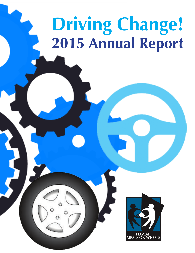# **Driving Change! 2015 Annual Report**

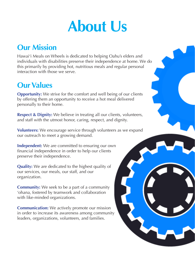# **About Us**

## **Our Mission**

Hawai'i Meals on Wheels is dedicated to helping Oahu's elders and individuals with disabilities preserve their independence at home. We do this primarily by providing hot, nutritious meals and regular personal interaction with those we serve.

## **Our Values**

**Opportunity:** We strive for the comfort and well being of our clients by offering them an opportunity to receive a hot meal delivered personally to their home.

**Respect & Dignity:** We believe in treating all our clients, volunteers, and staff with the utmost honor, caring, respect, and dignity.

**Volunteers:** We encourage service through volunteers as we expand our outreach to meet a growing demand.

**Independent:** We are committed to ensuring our own financial independence in order to help our clients preserve their independence.

**Quality:** We are dedicated to the highest quality of our services, our meals, our staff, and our organization.

**Community:** We seek to be a part of a community 'ohana, fostered by teamwork and collaboration with like-minded organizations.

**Communication:** We actively promote our mission in order to increase its awareness among community leaders, organizations, volunteers, and families.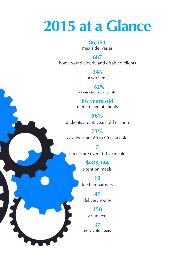# **2015 at a Glance**

#### **86,551**

meals deliveries

#### **687**

homebound elderly and disabled clients

**246** new clients

 **62%** of our clients are female

### **86 years old**

median age of clients

**96%** of clients are 60 years old or more

**73%** of clients are 80 to 99 years old

**7** clients are over 100 years old

> **\$483,144**  spent on meals

> **10** kitchen partners

**47**  delivery routes

> **450**  volunteers

**37** new volunteers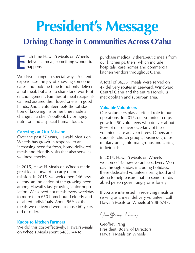# **President's Message**

## **Driving Change in Communities Across O'ahu**

**ach time Hawai'i Meals on Wheels** delivers a meal, something wonderful happens. **E**

We drive change in special ways: A client experiences the joy of knowing someone cares and took the time to not only deliver a hot meal, but also to share kind words of encouragement. Families of meal recipients can rest assured their loved one is in good hands. And a volunteer feels the satisfaction of knowing his or her time made a change in a client's outlook by bringing nutrition and a special human touch.

#### **Carrying on Our Mission**

Over the past 37 years, Hawai'i Meals on Wheels has grown in response to an increasing need for fresh, home-delivered meals and friendly visits that also serve as wellness checks.

In 2015, Hawai'i Meals on Wheels made great leaps forward to carry on our mission. In 2015, we welcomed 246 new clients, an indication of the growing need among Hawaii's fast-growing senior population. We served hot meals every weekday to more than 650 homebound elderly and disabled individuals. About 96% of the meals we delivered went to those 60 years old or older.

#### **Kudos to Kitchen Partners**

We did this cost-effectively. Hawai'i Meals on Wheels Meals spent \$483,144 to

purchase medically therapeutic meals from our kitchen partners, which include hospitals, care homes and commercial kitchen vendors throughout Oahu.

A total of 86,551 meals were served on 47 delivery routes in Leeward, Windward, Central Oahu and the entire Honolulu metropolitan and suburban area.

#### **Valuable Volunteers**

Our volunteers play a critical role in our operations. In 2015, our volunteer corps grew to 450 volunteers who deliver about 80% of our deliveries. Many of these volunteers are active retirees. Others are students, church groups, business groups, military units, informal groups and caring individuals.

In 2015, Hawai'i Meals on Wheels welcomed 37 new volunteers. Every Monday through Friday, including holidays, these dedicated volunteers bring food and aloha to help ensure that no senior or disabled person goes hungry or is lonely.

If you are interested in receiving meals or serving as a meal delivery volunteer, call Hawai'i Meals on Wheels at 988-6747.

Geoffrey Pang

Geoffrey Pang President, Board of Directors Hawai'i Meals on Wheels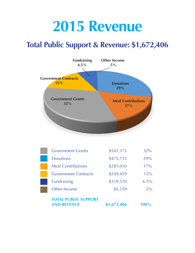# **2015 Revenue**

## **Total Public Support & Revenue: \$1,672,406**



| <b>TOTAL PUBLIC SUPPORT</b><br><b>AND REVENUE</b> | \$1,672,406 | 100%   |
|---------------------------------------------------|-------------|--------|
| Other Income                                      | \$5,259     | $.5\%$ |
| <b>Fundraising</b>                                | \$119,570   | 6.5%   |
| <b>Government Contracts</b>                       | \$249,459   | 15%    |
| <b>Meal Contributions</b>                         | \$281,010   | 17%    |
| <b>Donations</b>                                  | \$475,735   | 29%    |
| <b>Government Grants</b>                          | \$541,373   | 32%    |
|                                                   |             |        |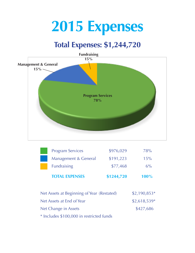# **2015 Expenses**

## **Total Expenses: \$1,244,720**



| <b>TOTAL EXPENSES</b>   | \$1244,720 | 100%  |
|-------------------------|------------|-------|
| <b>Fundraising</b>      | \$77,468   | $6\%$ |
| Management & General    | \$191,223  | 15%   |
| <b>Program Services</b> | \$976,029  | 78%   |

| Net Assets at Beginning of Year (Restated) | $$2,190,853*$ |
|--------------------------------------------|---------------|
| Net Assets at End of Year                  | $$2,618,539*$ |
| Net Change in Assets                       | \$427,686     |
| * Includes \$100,000 in restricted funds   |               |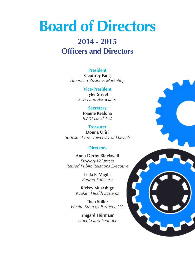# **Board of Directors**

## **2014 - 2015 Officers and Directors**

**President Geoffrey Pang** *American Business Marketing*

#### **Vice-President**

**Tyler Street** *Savio and Associates*

> **Secretary Joanne Kealoha** *ILWU Local 142*

#### **Treasurer**

**Donna Ojiri** *Sodexo at the University of Hawai'i*

#### **Directors**

**Anna Derby Blackwell** *Delivery Volunteer Retired Public Relations Executive*

> **Lella E. Migita** *Retired Educator*

**Rickey Murashige** *Kuakini Health Systems*

**Theo Stiller** *Wealth Strategy Partners, LLC*

> **Irmgard Hörmann** *Emerita and Founder*

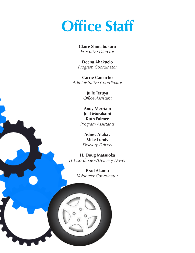# **Office Staff**

**Claire Shimabukuro** *Executive Director*

**Deena Ahakuelo** *Program Coordinator*

**Carrie Camacho** *Administrative Coordinator*

> **Julie Teruya** *Office Assistant*

**Andy Merriam Joal Murakami Ruth Palmer** *Program Assistants*

**Adney Atabay Mike Lundy** *Delivery Drivers*

**H. Doug Matsuoka** *IT Coordinator/Delivery Driver*

> **Brad Akamu** *Volunteer Coordinator*